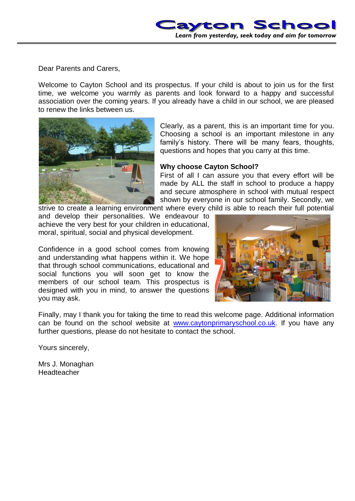

Dear Parents and Carers,

Welcome to Cayton School and its prospectus. If your child is about to join us for the first time, we welcome you warmly as parents and look forward to a happy and successful association over the coming years. If you already have a child in our school, we are pleased to renew the links between us.



Clearly, as a parent, this is an important time for you. Choosing a school is an important milestone in any family's history. There will be many fears, thoughts, questions and hopes that you carry at this time.

## **Why choose Cayton School?**

First of all I can assure you that every effort will be made by ALL the staff in school to produce a happy and secure atmosphere in school with mutual respect shown by everyone in our school family. Secondly, we

strive to create a learning environment where every child is able to reach their full potential and develop their personalities. We endeavour to achieve the very best for your children in educational, moral, spiritual, social and physical development.

Confidence in a good school comes from knowing and understanding what happens within it. We hope that through school communications, educational and social functions you will soon get to know the members of our school team. This prospectus is designed with you in mind, to answer the questions you may ask.



Finally, may I thank you for taking the time to read this welcome page. Additional information can be found on the school website at [www.caytonprimaryschool.co.uk.](http://www.caytonprimaryschool.co.uk/) If you have any further questions, please do not hesitate to contact the school.

Yours sincerely,

Mrs J. Monaghan **Headteacher**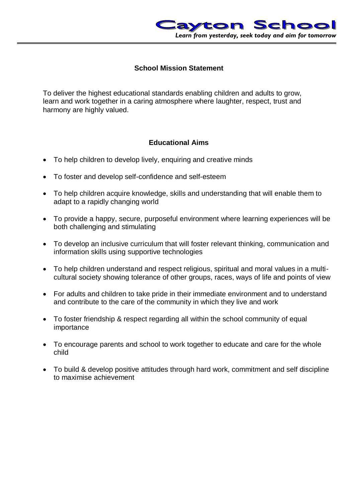

## **School Mission Statement**

To deliver the highest educational standards enabling children and adults to grow, learn and work together in a caring atmosphere where laughter, respect, trust and harmony are highly valued.

## **Educational Aims**

- To help children to develop lively, enquiring and creative minds
- To foster and develop self-confidence and self-esteem
- To help children acquire knowledge, skills and understanding that will enable them to adapt to a rapidly changing world
- To provide a happy, secure, purposeful environment where learning experiences will be both challenging and stimulating
- To develop an inclusive curriculum that will foster relevant thinking, communication and information skills using supportive technologies
- To help children understand and respect religious, spiritual and moral values in a multicultural society showing tolerance of other groups, races, ways of life and points of view
- For adults and children to take pride in their immediate environment and to understand and contribute to the care of the community in which they live and work
- To foster friendship & respect regarding all within the school community of equal importance
- To encourage parents and school to work together to educate and care for the whole child
- To build & develop positive attitudes through hard work, commitment and self discipline to maximise achievement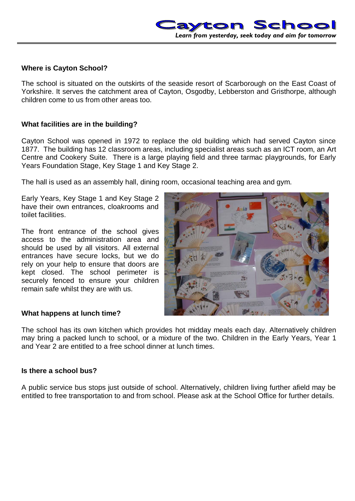## **Where is Cayton School?**

The school is situated on the outskirts of the seaside resort of Scarborough on the East Coast of Yorkshire. It serves the catchment area of Cayton, Osgodby, Lebberston and Gristhorpe, although children come to us from other areas too.

## **What facilities are in the building?**

Cayton School was opened in 1972 to replace the old building which had served Cayton since 1877. The building has 12 classroom areas, including specialist areas such as an ICT room, an Art Centre and Cookery Suite. There is a large playing field and three tarmac playgrounds, for Early Years Foundation Stage, Key Stage 1 and Key Stage 2.

The hall is used as an assembly hall, dining room, occasional teaching area and gym.

Early Years, Key Stage 1 and Key Stage 2 have their own entrances, cloakrooms and toilet facilities.

The front entrance of the school gives access to the administration area and should be used by all visitors. All external entrances have secure locks, but we do rely on your help to ensure that doors are kept closed. The school perimeter is securely fenced to ensure your children remain safe whilst they are with us.



#### **What happens at lunch time?**

The school has its own kitchen which provides hot midday meals each day. Alternatively children may bring a packed lunch to school, or a mixture of the two. Children in the Early Years, Year 1 and Year 2 are entitled to a free school dinner at lunch times.

## **Is there a school bus?**

A public service bus stops just outside of school. Alternatively, children living further afield may be entitled to free transportation to and from school. Please ask at the School Office for further details.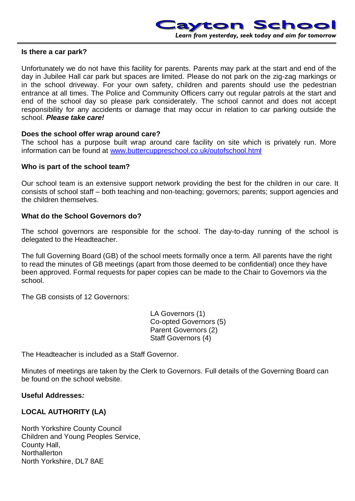

#### **Is there a car park?**

Unfortunately we do not have this facility for parents. Parents may park at the start and end of the day in Jubilee Hall car park but spaces are limited. Please do not park on the zig-zag markings or in the school driveway. For your own safety, children and parents should use the pedestrian entrance at all times. The Police and Community Officers carry out regular patrols at the start and end of the school day so please park considerately. The school cannot and does not accept responsibility for any accidents or damage that may occur in relation to car parking outside the school. *Please take care!*

#### **Does the school offer wrap around care?**

The school has a purpose built wrap around care facility on site which is privately run. More information can be found at [www.buttercuppreschool.co.uk/outofschool.html](http://www.buttercuppreschool.co.uk/outofschool.html)

#### **Who is part of the school team?**

Our school team is an extensive support network providing the best for the children in our care. It consists of school staff – both teaching and non-teaching; governors; parents; support agencies and the children themselves.

#### **What do the School Governors do?**

The school governors are responsible for the school. The day-to-day running of the school is delegated to the Headteacher.

The full Governing Board (GB) of the school meets formally once a term. All parents have the right to read the minutes of GB meetings (apart from those deemed to be confidential) once they have been approved. Formal requests for paper copies can be made to the Chair to Governors via the school.

The GB consists of 12 Governors:

LA Governors (1) Co-opted Governors (5) Parent Governors (2) Staff Governors (4)

The Headteacher is included as a Staff Governor.

Minutes of meetings are taken by the Clerk to Governors. Full details of the Governing Board can be found on the school website.

#### **Useful Addresses***:*

#### **LOCAL AUTHORITY (LA)**

North Yorkshire County Council Children and Young Peoples Service, County Hall, **Northallerton** North Yorkshire, DL7 8AE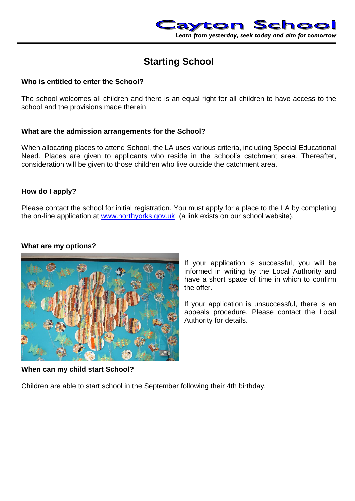

# **Starting School**

## **Who is entitled to enter the School?**

The school welcomes all children and there is an equal right for all children to have access to the school and the provisions made therein.

## **What are the admission arrangements for the School?**

When allocating places to attend School, the LA uses various criteria, including Special Educational Need. Places are given to applicants who reside in the school's catchment area. Thereafter, consideration will be given to those children who live outside the catchment area.

## **How do I apply?**

Please contact the school for initial registration. You must apply for a place to the LA by completing the on-line application at [www.northyorks.gov.uk.](http://www.northyorks.gov.uk/) (a link exists on our school website).

## **What are my options?**



If your application is successful, you will be informed in writing by the Local Authority and have a short space of time in which to confirm the offer.

If your application is unsuccessful, there is an appeals procedure. Please contact the Local Authority for details.

**When can my child start School?**

Children are able to start school in the September following their 4th birthday.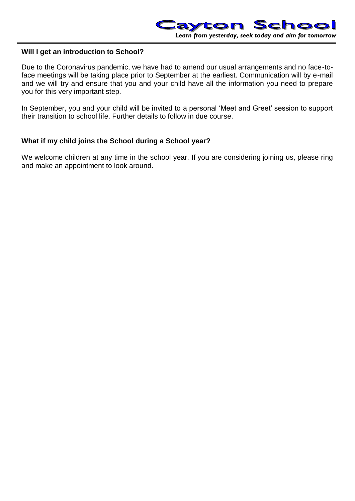

## **Will I get an introduction to School?**

Due to the Coronavirus pandemic, we have had to amend our usual arrangements and no face-toface meetings will be taking place prior to September at the earliest. Communication will by e-mail and we will try and ensure that you and your child have all the information you need to prepare you for this very important step.

In September, you and your child will be invited to a personal 'Meet and Greet' session to support their transition to school life. Further details to follow in due course.

## **What if my child joins the School during a School year?**

We welcome children at any time in the school year. If you are considering joining us, please ring and make an appointment to look around.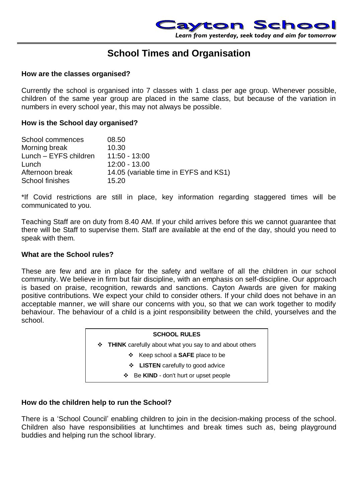

## **School Times and Organisation**

#### **How are the classes organised?**

Currently the school is organised into 7 classes with 1 class per age group. Whenever possible, children of the same year group are placed in the same class, but because of the variation in numbers in every school year, this may not always be possible.

### **How is the School day organised?**

| School commences      | 08.50                                 |
|-----------------------|---------------------------------------|
| Morning break         | 10.30                                 |
| Lunch - EYFS children | $11:50 - 13:00$                       |
| Lunch                 | $12:00 - 13.00$                       |
| Afternoon break       | 14.05 (variable time in EYFS and KS1) |
| School finishes       | 15.20                                 |

\*If Covid restrictions are still in place, key information regarding staggered times will be communicated to you.

Teaching Staff are on duty from 8.40 AM. If your child arrives before this we cannot guarantee that there will be Staff to supervise them. Staff are available at the end of the day, should you need to speak with them.

### **What are the School rules?**

These are few and are in place for the safety and welfare of all the children in our school community. We believe in firm but fair discipline, with an emphasis on self-discipline. Our approach is based on praise, recognition, rewards and sanctions. Cayton Awards are given for making positive contributions. We expect your child to consider others. If your child does not behave in an acceptable manner, we will share our concerns with you, so that we can work together to modify behaviour. The behaviour of a child is a joint responsibility between the child, yourselves and the school.

# **SCHOOL RULES THINK** carefully about what you say to and about others Keep school a **SAFE** place to be **LISTEN** carefully to good advice Be **KIND** - don't hurt or upset people

## **How do the children help to run the School?**

There is a 'School Council' enabling children to join in the decision-making process of the school. Children also have responsibilities at lunchtimes and break times such as, being playground buddies and helping run the school library.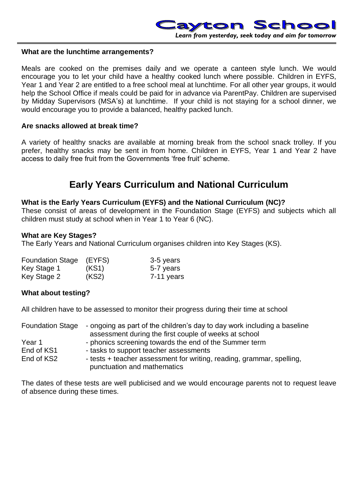

#### **What are the lunchtime arrangements?**

Meals are cooked on the premises daily and we operate a canteen style lunch. We would encourage you to let your child have a healthy cooked lunch where possible. Children in EYFS, Year 1 and Year 2 are entitled to a free school meal at lunchtime. For all other year groups, it would help the School Office if meals could be paid for in advance via ParentPay. Children are supervised by Midday Supervisors (MSA's) at lunchtime. If your child is not staying for a school dinner, we would encourage you to provide a balanced, healthy packed lunch.

#### **Are snacks allowed at break time?**

A variety of healthy snacks are available at morning break from the school snack trolley. If you prefer, healthy snacks may be sent in from home. Children in EYFS, Year 1 and Year 2 have access to daily free fruit from the Governments 'free fruit' scheme.

## **Early Years Curriculum and National Curriculum**

#### **What is the Early Years Curriculum (EYFS) and the National Curriculum (NC)?**

These consist of areas of development in the Foundation Stage (EYFS) and subjects which all children must study at school when in Year 1 to Year 6 (NC).

#### **What are Key Stages?**

The Early Years and National Curriculum organises children into Key Stages (KS).

| <b>Foundation Stage</b> | (EYFS) | 3-5 years  |
|-------------------------|--------|------------|
| Key Stage 1             | (KS1)  | 5-7 years  |
| Key Stage 2             | (KS2)  | 7-11 years |

#### **What about testing?**

All children have to be assessed to monitor their progress during their time at school

| <b>Foundation Stage</b> | - ongoing as part of the children's day to day work including a baseline |
|-------------------------|--------------------------------------------------------------------------|
|                         | assessment during the first couple of weeks at school                    |
| Year 1                  | - phonics screening towards the end of the Summer term                   |
| End of KS1              | - tasks to support teacher assessments                                   |
| End of KS2              | - tests + teacher assessment for writing, reading, grammar, spelling,    |
|                         | punctuation and mathematics                                              |

The dates of these tests are well publicised and we would encourage parents not to request leave of absence during these times.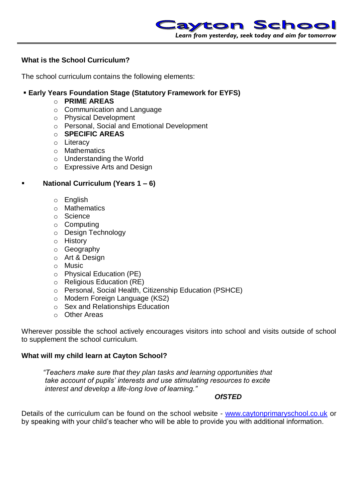

## **What is the School Curriculum?**

The school curriculum contains the following elements:

## **Early Years Foundation Stage (Statutory Framework for EYFS)**

- o **PRIME AREAS**
- o Communication and Language
- o Physical Development
- o Personal, Social and Emotional Development
- o **SPECIFIC AREAS**
- o Literacy
- o Mathematics
- o Understanding the World
- o Expressive Arts and Design

## **National Curriculum (Years 1 – 6)**

- o English
- o Mathematics
- o Science
- o Computing
- o Design Technology
- o History
- o Geography
- o Art & Design
- o Music
- o Physical Education (PE)
- o Religious Education (RE)
- o Personal, Social Health, Citizenship Education (PSHCE)
- o Modern Foreign Language (KS2)
- o Sex and Relationships Education
- o Other Areas

Wherever possible the school actively encourages visitors into school and visits outside of school to supplement the school curriculum.

## **What will my child learn at Cayton School?**

*"Teachers make sure that they plan tasks and learning opportunities that take account of pupils' interests and use stimulating resources to excite interest and develop a life-long love of learning."*

#### *OfSTED*

Details of the curriculum can be found on the school website - [www.caytonprimaryschool.co.uk](http://www.caytonprimaryschool.co.uk/) or by speaking with your child's teacher who will be able to provide you with additional information.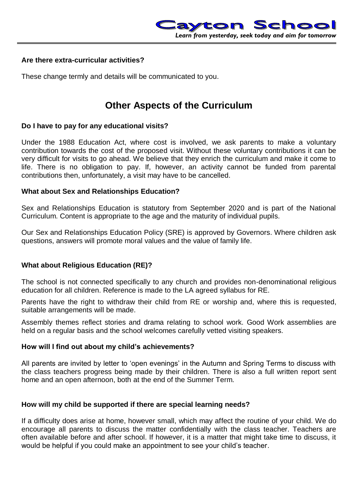## **Are there extra-curricular activities?**

These change termly and details will be communicated to you.

# **Other Aspects of the Curriculum**

## **Do I have to pay for any educational visits?**

Under the 1988 Education Act, where cost is involved, we ask parents to make a voluntary contribution towards the cost of the proposed visit. Without these voluntary contributions it can be very difficult for visits to go ahead. We believe that they enrich the curriculum and make it come to life. There is no obligation to pay. If, however, an activity cannot be funded from parental contributions then, unfortunately, a visit may have to be cancelled.

## **What about Sex and Relationships Education?**

Sex and Relationships Education is statutory from September 2020 and is part of the National Curriculum. Content is appropriate to the age and the maturity of individual pupils.

Our Sex and Relationships Education Policy (SRE) is approved by Governors. Where children ask questions, answers will promote moral values and the value of family life.

## **What about Religious Education (RE)?**

The school is not connected specifically to any church and provides non-denominational religious education for all children. Reference is made to the LA agreed syllabus for RE.

Parents have the right to withdraw their child from RE or worship and, where this is requested, suitable arrangements will be made.

Assembly themes reflect stories and drama relating to school work. Good Work assemblies are held on a regular basis and the school welcomes carefully vetted visiting speakers.

#### **How will I find out about my child's achievements?**

All parents are invited by letter to 'open evenings' in the Autumn and Spring Terms to discuss with the class teachers progress being made by their children. There is also a full written report sent home and an open afternoon, both at the end of the Summer Term.

## **How will my child be supported if there are special learning needs?**

If a difficulty does arise at home, however small, which may affect the routine of your child. We do encourage all parents to discuss the matter confidentially with the class teacher. Teachers are often available before and after school. If however, it is a matter that might take time to discuss, it would be helpful if you could make an appointment to see your child's teacher.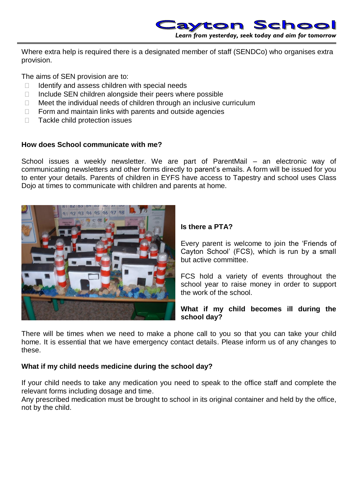

Where extra help is required there is a designated member of staff (SENDCo) who organises extra provision.

The aims of SEN provision are to:

- $\Box$  Identify and assess children with special needs
- $\Box$  Include SEN children alongside their peers where possible
- $\Box$  Meet the individual needs of children through an inclusive curriculum
- $\Box$  Form and maintain links with parents and outside agencies
- □ Tackle child protection issues

## **How does School communicate with me?**

School issues a weekly newsletter. We are part of ParentMail – an electronic way of communicating newsletters and other forms directly to parent's emails. A form will be issued for you to enter your details. Parents of children in EYFS have access to Tapestry and school uses Class Dojo at times to communicate with children and parents at home.



## **Is there a PTA?**

Every parent is welcome to join the 'Friends of Cayton School' (FCS), which is run by a small but active committee.

FCS hold a variety of events throughout the school year to raise money in order to support the work of the school.

**What if my child becomes ill during the school day?**

There will be times when we need to make a phone call to you so that you can take your child home. It is essential that we have emergency contact details. Please inform us of any changes to these.

## **What if my child needs medicine during the school day?**

If your child needs to take any medication you need to speak to the office staff and complete the relevant forms including dosage and time.

Any prescribed medication must be brought to school in its original container and held by the office, not by the child.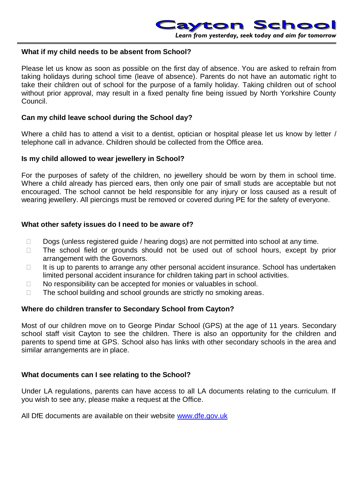

## **What if my child needs to be absent from School?**

Please let us know as soon as possible on the first day of absence. You are asked to refrain from taking holidays during school time (leave of absence). Parents do not have an automatic right to take their children out of school for the purpose of a family holiday. Taking children out of school without prior approval, may result in a fixed penalty fine being issued by North Yorkshire County Council.

### **Can my child leave school during the School day?**

Where a child has to attend a visit to a dentist, optician or hospital please let us know by letter / telephone call in advance. Children should be collected from the Office area.

#### **Is my child allowed to wear jewellery in School?**

For the purposes of safety of the children, no jewellery should be worn by them in school time. Where a child already has pierced ears, then only one pair of small studs are acceptable but not encouraged. The school cannot be held responsible for any injury or loss caused as a result of wearing jewellery. All piercings must be removed or covered during PE for the safety of everyone.

## **What other safety issues do I need to be aware of?**

- $\Box$  Dogs (unless registered guide / hearing dogs) are not permitted into school at any time.
- $\Box$  The school field or grounds should not be used out of school hours, except by prior arrangement with the Governors.
- $\Box$  It is up to parents to arrange any other personal accident insurance. School has undertaken limited personal accident insurance for children taking part in school activities.
- $\Box$  No responsibility can be accepted for monies or valuables in school.
- $\Box$  The school building and school grounds are strictly no smoking areas.

#### **Where do children transfer to Secondary School from Cayton?**

Most of our children move on to George Pindar School (GPS) at the age of 11 years. Secondary school staff visit Cayton to see the children. There is also an opportunity for the children and parents to spend time at GPS. School also has links with other secondary schools in the area and similar arrangements are in place.

#### **What documents can I see relating to the School?**

Under LA regulations, parents can have access to all LA documents relating to the curriculum. If you wish to see any, please make a request at the Office.

All DfE documents are available on their website [www.dfe.gov.uk](http://www.dfe.gov.uk/)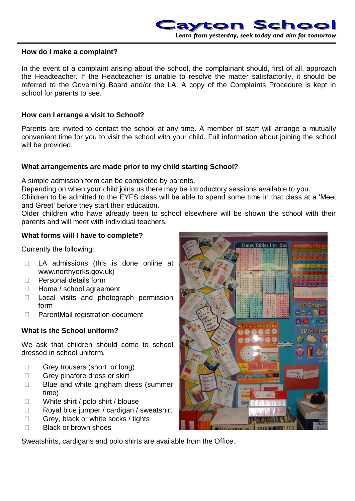

## **How do I make a complaint?**

In the event of a complaint arising about the school, the complainant should, first of all, approach the Headteacher. If the Headteacher is unable to resolve the matter satisfactorily, it should be referred to the Governing Board and/or the LA. A copy of the Complaints Procedure is kept in school for parents to see.

## **How can I arrange a visit to School?**

Parents are invited to contact the school at any time. A member of staff will arrange a mutually convenient time for you to visit the school with your child. Full information about joining the school will be provided.

## **What arrangements are made prior to my child starting School?**

A simple admission form can be completed by parents.

Depending on when your child joins us there may be introductory sessions available to you.

Children to be admitted to the EYFS class will be able to spend some time in that class at a 'Meet and Greet' before they start their education.

Older children who have already been to school elsewhere will be shown the school with their parents and will meet with individual teachers.

## **What forms will I have to complete?**

Currently the following:

- □ LA admissions (this is done online at www.northyorks.gov.uk)
- $\Box$  Personal details form
- □ Home / school agreement
- D Local visits and photograph permission form
- □ ParentMail registration document

## **What is the School uniform?**

We ask that children should come to school dressed in school uniform.

- Grey trousers (short or long)
- Grey pinafore dress or skirt
- $\Box$  Blue and white gingham dress (summer time)
- □ White shirt / polo shirt / blouse
- $\Box$  Royal blue jumper / cardigan / sweatshirt
- Grey, black or white socks / tights
- $\Box$  Black or brown shoes

Sweatshirts, cardigans and polo shirts are available from the Office.